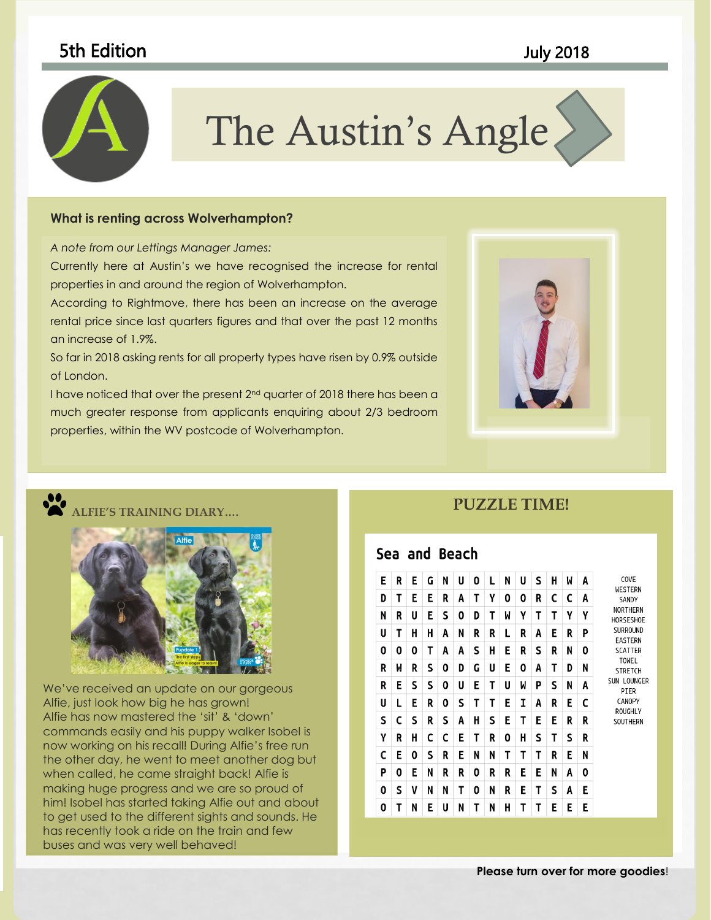# 5th Edition July 2018



# The Austin's Angle

to coordinate with the overall look of your document. You can use

#### these galleries to insert tables, headers, footers, lists, cover pages, **What is renting across Wolverhampton?**

*A note from our Lettings Manager James:*

Currently here at Austin's we have recognised the increase for rental properties in and around the region of Wolverhampton.

According to Rightmove, there has been an increase on the average and the state of the state of the rental price since last quarters figures and that over the past 12 months an increase of 1.9%.

So far in 2018 asking rents for all property types have risen by 0.9% outside of London.

I have noticed that over the present 2<sup>nd</sup> quarter of 2018 there has been a much greater response from applicants enquiring about 2/3 bedroom properties, within the WV postcode of Wolverhampton.





#### **ALFIE'S TRAINING DIARY….**



We've received an update on our gorgeous Alfie, just look how big he has grown! Alfie has now mastered the 'sit' & 'down' commands easily and his puppy walker Isobel is now working on his recall! During Alfie's free run the other day, he went to meet another dog but when called, he came straight back! Alfie is making huge progress and we are so proud of him! Isobel has started taking Alfie out and about to get used to the different sights and sounds. He has recently took a ride on the train and few buses and was very well behaved!

## **PUZZLE TIME!**

### Sea and Beach

| E | R | Е | G | N | U | 0 | L | N | U | S | н | W | A | COVE<br>WESTERN<br>SANDY<br><b>NORTHERN</b><br>HORSESHOE<br>SURROUND<br><b>EASTERN</b><br><b>SCATTER</b><br><b>TOWEL</b><br><b>STRETCH</b><br>SUN LOUNGER<br>PIER<br>CANOPY<br><b>ROUGHLY</b><br>SOUTHERN |
|---|---|---|---|---|---|---|---|---|---|---|---|---|---|-----------------------------------------------------------------------------------------------------------------------------------------------------------------------------------------------------------|
| D | Τ | Е | E | R | A | Τ | γ | 0 | 0 | R | C | C | A |                                                                                                                                                                                                           |
| N | R | U | E | S | 0 | D | T | M | γ | Т | Т | γ | γ |                                                                                                                                                                                                           |
| U | т | н | н | A | N | R | R | L | R | A | E | R | P |                                                                                                                                                                                                           |
| 0 | 0 | 0 | Т | A | A | S | н | E | R | S | R | Ν | 0 |                                                                                                                                                                                                           |
| R | W | R | S | 0 | D | G | U | E | 0 | A | Т | D | N |                                                                                                                                                                                                           |
| R | Е | S | S | 0 | U | E | Τ | U | W | P | S | N | A |                                                                                                                                                                                                           |
| U | L | E | R | 0 | S | Τ | Τ | E | I | A | R | E | C |                                                                                                                                                                                                           |
| S | C | S | R | S | A | H | S | E | Τ | E | E | R | R |                                                                                                                                                                                                           |
| γ | R | н | c | c | E | Т | R | 0 | н | s | т | S | R |                                                                                                                                                                                                           |
| C | E | 0 | S | R | E | N | Ν | т | Τ | т | R | E | N |                                                                                                                                                                                                           |
| P | 0 | Е | N | R | R | 0 | R | R | E | Е | N | Α | 0 |                                                                                                                                                                                                           |
| 0 | S | V | N | N | Т | 0 | N | R | E | Τ | S | Α | E |                                                                                                                                                                                                           |
| 0 | T | N | E | U | N | T | Ν | н | T | T | E | E | E |                                                                                                                                                                                                           |

#### **Please turn over for more goodies**!